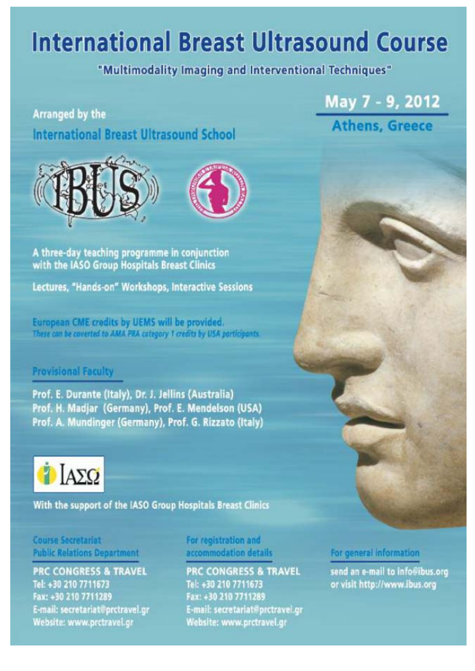# **International Breast Ultrasound Course**

## "Multimodality Imaging and Interventional Techniques"

## **Arranged by the International Breast Ultrasound School**

A three-day teaching programme in conjunction with the IASO Group Hospitals Breast Clinics

Lectures, "Hands-on" Workshops, Interactive Sessions

European CME credits by UEMS will be provided. These can be coverted to AMA PRA category 1 credits by USA participants.

## **Provisional Faculty**

Prof. E. Durante (Italy), Dr. J. Jellins (Australia) Prof. H. Madjar (Germany), Prof. E. Mendelson (USA) Prof. A. Mundinger (Germany), Prof. G. Rizzato (Italy)



With the support of the IASO Group Hospitals Breast Clinics

## **Course Secretariat Public Relations Department**

**PRC CONGRESS & TRAVEL** Tel: +30 210 7711673 Fax: +30 210 7711289 E-mail: secretariat@prctravel.gr Website: www.prctravel.gr

## For registration and accommodation details

**PRC CONGRESS & TRAVEL** Tel: +30 210 7711673 Fax: +30 210 7711289 E-mail: secretariat@prctravel.gr Website: www.prctravel.gr

#### For general information

May 7 - 9, 2012

**Athens, Greece** 

send an e-mail to info@ibus.org or visit http://www.ibus.org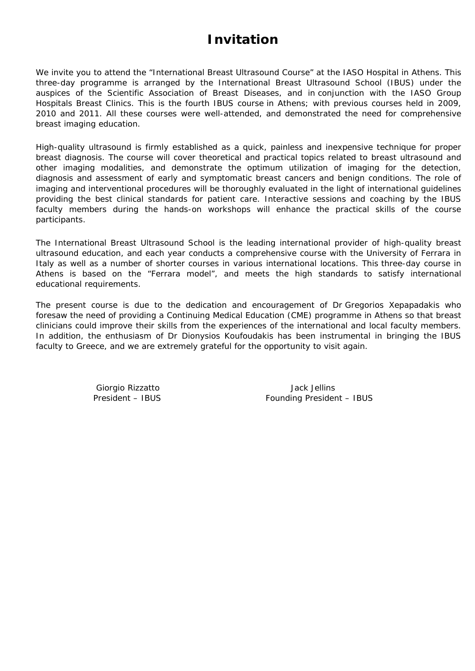## **Invitation**

We invite you to attend the "International Breast Ultrasound Course" at the IASO Hospital in Athens. This three-day programme is arranged by the International Breast Ultrasound School (IBUS) under the auspices of the Scientific Association of Breast Diseases, and in conjunction with the IASO Group Hospitals Breast Clinics. This is the fourth IBUS course in Athens; with previous courses held in 2009, 2010 and 2011. All these courses were well-attended, and demonstrated the need for comprehensive breast imaging education.

High-quality ultrasound is firmly established as a quick, painless and inexpensive technique for proper breast diagnosis. The course will cover theoretical and practical topics related to breast ultrasound and other imaging modalities, and demonstrate the optimum utilization of imaging for the detection, diagnosis and assessment of early and symptomatic breast cancers and benign conditions. The role of imaging and interventional procedures will be thoroughly evaluated in the light of international guidelines providing the best clinical standards for patient care. Interactive sessions and coaching by the IBUS faculty members during the hands-on workshops will enhance the practical skills of the course participants.

The International Breast Ultrasound School is the leading international provider of high-quality breast ultrasound education, and each year conducts a comprehensive course with the University of Ferrara in Italy as well as a number of shorter courses in various international locations. This three-day course in Athens is based on the "Ferrara model", and meets the high standards to satisfy international educational requirements.

The present course is due to the dedication and encouragement of Dr Gregorios Xepapadakis who foresaw the need of providing a Continuing Medical Education (CME) programme in Athens so that breast clinicians could improve their skills from the experiences of the international and local faculty members. In addition, the enthusiasm of Dr Dionysios Koufoudakis has been instrumental in bringing the IBUS faculty to Greece, and we are extremely grateful for the opportunity to visit again.

Giorgio Rizzatto **Giorgio Rizzatto** della provincia della Vack Jellins President – IBUS Founding President – IBUS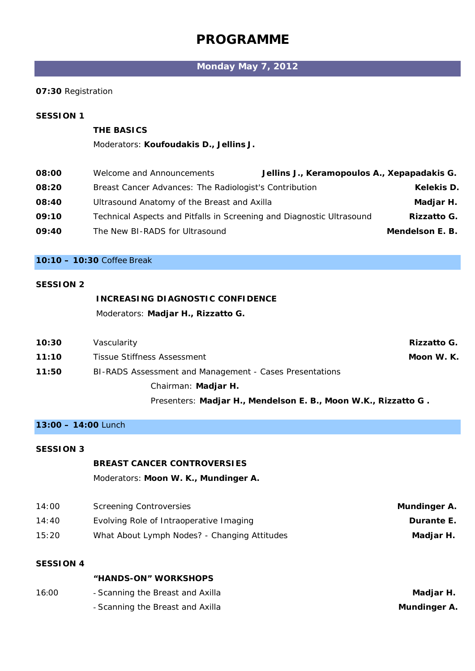## **PROGRAMME**

## **Monday May 7, 2012**

#### **07:30** Registration

#### *SESSION 1*

#### *THE BASICS*

#### Moderators: **Koufoudakis D., Jellins J.**

| 08:00 | Welcome and Announcements                                             | Jellins J., Keramopoulos A., Xepapadakis G. |                   |
|-------|-----------------------------------------------------------------------|---------------------------------------------|-------------------|
| 08:20 | Breast Cancer Advances: The Radiologist's Contribution                |                                             | <b>Kelekis D.</b> |
| 08:40 | Ultrasound Anatomy of the Breast and Axilla                           |                                             | Madjar H.         |
| 09:10 | Technical Aspects and Pitfalls in Screening and Diagnostic Ultrasound |                                             | Rizzatto G.       |
| 09:40 | The New BI-RADS for Ultrasound                                        |                                             | Mendelson E. B.   |
|       |                                                                       |                                             |                   |

#### **10:10 – 10:30** *Coffee Break*

#### *SESSION 2*

## *INCREASING DIAGNOSTIC CONFIDENCE*  Moderators: **Madjar H., Rizzatto G.**

| 10:30 | Vascularity                                                           | <i>Rizzatto G.</i> |
|-------|-----------------------------------------------------------------------|--------------------|
| 11:10 | Tissue Stiffness Assessment                                           | Moon W. K.         |
| 11:50 | BI-RADS Assessment and Management - Cases Presentations               |                    |
|       | Chairman: <i>Madjar H.</i>                                            |                    |
|       | Presenters: <i>Madjar H., Mendelson E. B., Moon W.K., Rizzatto G.</i> |                    |

#### **13:00 – 14:00** *Lunch*

#### *SESSION 3*

#### *BREAST CANCER CONTROVERSIES*

Moderators: **Moon W. K., Mundinger A.** 

| Mundinger A.      | <b>Screening Controversies</b>               | 14:00 |
|-------------------|----------------------------------------------|-------|
| <i>Durante E.</i> | Evolving Role of Intraoperative Imaging      | 14:40 |
| Madjar H.         | What About Lymph Nodes? - Changing Attitudes | 15:20 |

#### *SESSION 4*

 *"HANDS-ON" WORKSHOPS* 

| Madjar H.    | - Scanning the Breast and Axilla | 16:00 |
|--------------|----------------------------------|-------|
| Mundinger A. | - Scanning the Breast and Axilla |       |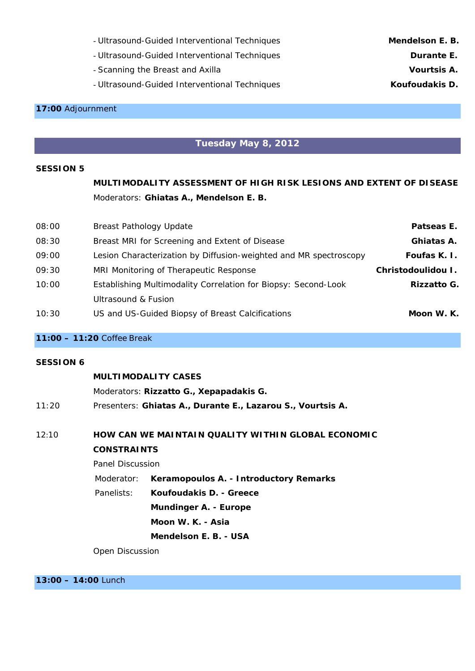- Ultrasound-Guided Interventional Techniques *Mendelson E. B.*
- Ultrasound-Guided Interventional Techniques *Durante E.*
- Scanning the Breast and Axilla *Vourtsis A.*
- Ultrasound-Guided Interventional Techniques *Koufoudakis D.*

#### **17:00** *Adjournment*

#### **Tuesday May 8, 2012**

#### *SESSION 5*

 *MULTIMODALITY ASSESSMENT OF HIGH RISK LESIONS AND EXTENT OF DISEASE*  Moderators: **Ghiatas A., Mendelson E. B.** 

| 08:00 | <b>Breast Pathology Update</b>                                    | Patseas E.                |
|-------|-------------------------------------------------------------------|---------------------------|
| 08:30 | Breast MRI for Screening and Extent of Disease                    | Ghiatas A.                |
| 09:00 | Lesion Characterization by Diffusion-weighted and MR spectroscopy | Foufas K. I.              |
| 09:30 | MRI Monitoring of Therapeutic Response                            | Christodoulidou I.        |
| 10:00 | Establishing Multimodality Correlation for Biopsy: Second-Look    | <i><b>Rizzatto G.</b></i> |
|       | Ultrasound & Fusion                                               |                           |
| 10:30 | US and US-Guided Biopsy of Breast Calcifications                  | Moon W. K.                |

#### **11:00 – 11:20** Coffee *Break*

#### *SESSION 6*

#### *MULTIMODALITY CASES*

Moderators: **Rizzatto G., Xepapadakis G.**  11:20 Presenters: *Ghiatas A., Durante E., Lazarou S., Vourtsis A.* 

#### 12:10 *HOW CAN WE MAINTAIN QUALITY WITHIN GLOBAL ECONOMIC CONSTRAINTS*

Panel Discussion

Moderator: **Keramopoulos A. - Introductory Remarks**

- Panelists: *Koufoudakis D. Greece* 
	- *Mundinger A. Europe* 
		- *Moon W. K. Asia* 
			- *Mendelson E. B. USA*

Open Discussion

**13:00 – 14:00** *Lunch*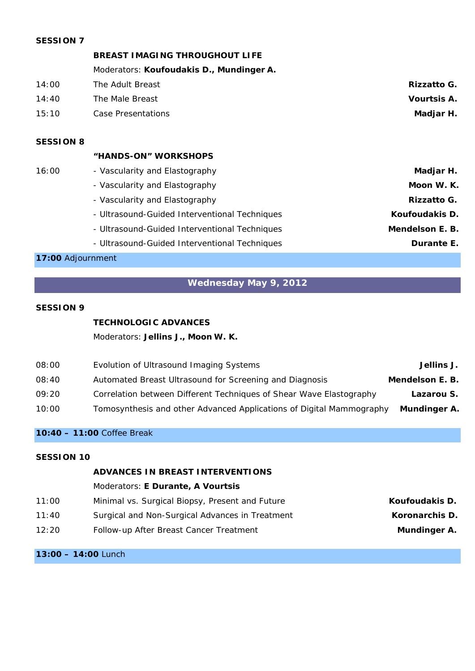#### *SESSION 7*

#### *BREAST IMAGING THROUGHOUT LIFE*

|       | Moderators: Koufoudakis D., Mundinger A. |                    |
|-------|------------------------------------------|--------------------|
| 14:00 | The Adult Breast                         | Rizzatto G.        |
| 14:40 | The Male Breast                          | <i>Vourtsis A.</i> |
| 15:10 | Case Presentations                       | Madjar H.          |
|       |                                          |                    |

#### *SESSION 8*

#### *"HANDS-ON" WORKSHOPS*

| Madjar H.       | - Vascularity and Elastography                | 16:00 |
|-----------------|-----------------------------------------------|-------|
| Moon W. K.      | - Vascularity and Elastography                |       |
| Rizzatto G.     | - Vascularity and Elastography                |       |
| Koufoudakis D.  | - Ultrasound-Guided Interventional Techniques |       |
| Mendelson E. B. | - Ultrasound-Guided Interventional Techniques |       |
| Durante E.      | - Ultrasound-Guided Interventional Techniques |       |
|                 |                                               |       |

#### **17:00** *Adjournment*

## **Wednesday May 9, 2012**

#### *SESSION 9*

#### *TECHNOLOGIC ADVANCES*

Moderators: **Jellins J., Moon W. K.** 

| Jellins J.      | Evolution of Ultrasound Imaging Systems                              | 08:00 |
|-----------------|----------------------------------------------------------------------|-------|
| Mendelson E. B. | Automated Breast Ultrasound for Screening and Diagnosis              | 08:40 |
| Lazarou S.      | Correlation between Different Techniques of Shear Wave Elastography  | 09:20 |
| Mundinger A.    | Tomosynthesis and other Advanced Applications of Digital Mammography | 10:00 |

#### **10:40 – 11:00** *Coffee Break*

#### *SESSION 10*

#### *ADVANCES IN BREAST INTERVENTIONS*

#### Moderators: **E Durante, A Vourtsis**

| Koufoudakis D.      | Minimal vs. Surgical Biopsy, Present and Future | 11:00 |
|---------------------|-------------------------------------------------|-------|
| Koronarchis D.      | Surgical and Non-Surgical Advances in Treatment | 11:40 |
| <i>Mundinger A.</i> | Follow-up After Breast Cancer Treatment         | 12:20 |

#### **13:00 – 14:00** *Lunch*